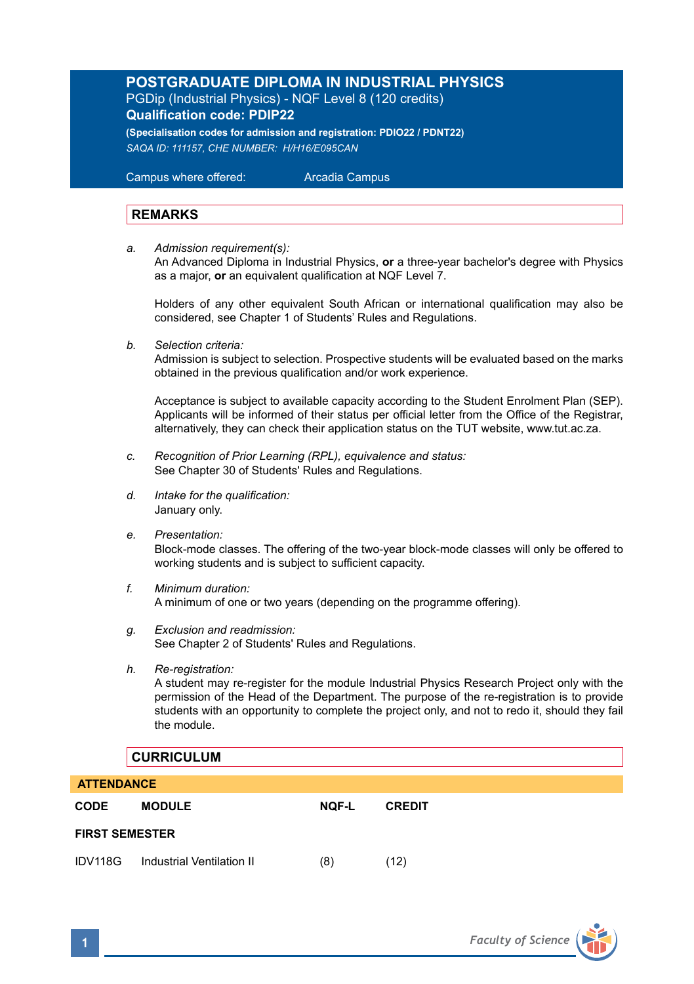# **POSTGRADUATE DIPLOMA IN INDUSTRIAL PHYSICS** PGDip (Industrial Physics) - NQF Level 8 (120 credits) **Qualification code: PDIP22**

**(Specialisation codes for admission and registration: PDIO22 / PDNT22)** *SAQA ID: 111157, CHE NUMBER: H/H16/E095CAN*

 Campus where offered: Arcadia Campus

# **REMARKS**

*a. Admission requirement(s):* 

An Advanced Diploma in Industrial Physics, **or** a three-year bachelor's degree with Physics as a major, **or** an equivalent qualification at NQF Level 7.

Holders of any other equivalent South African or international qualification may also be considered, see Chapter 1 of Students' Rules and Regulations.

*b. Selection criteria:*

Admission is subject to selection. Prospective students will be evaluated based on the marks obtained in the previous qualification and/or work experience.

Acceptance is subject to available capacity according to the Student Enrolment Plan (SEP). Applicants will be informed of their status per official letter from the Office of the Registrar, alternatively, they can check their application status on the TUT website, www.tut.ac.za.

- *c. Recognition of Prior Learning (RPL), equivalence and status:* See Chapter 30 of Students' Rules and Regulations.
- *d. Intake for the qualification:* January only.
- *e. Presentation:*

Block-mode classes. The offering of the two-year block-mode classes will only be offered to working students and is subject to sufficient capacity.

- *f. Minimum duration:* A minimum of one or two years (depending on the programme offering).
- *g. Exclusion and readmission:* See Chapter 2 of Students' Rules and Regulations.
- *h. Re-registration:*

A student may re-register for the module Industrial Physics Research Project only with the permission of the Head of the Department. The purpose of the re-registration is to provide students with an opportunity to complete the project only, and not to redo it, should they fail the module.

### **CURRICULUM**

| <b>ATTENDANCE</b>     |                           |       |               |  |  |  |
|-----------------------|---------------------------|-------|---------------|--|--|--|
| <b>CODE</b>           | <b>MODULE</b>             | NOF-L | <b>CREDIT</b> |  |  |  |
| <b>FIRST SEMESTER</b> |                           |       |               |  |  |  |
| IDV118G               | Industrial Ventilation II | (8)   | (12)          |  |  |  |

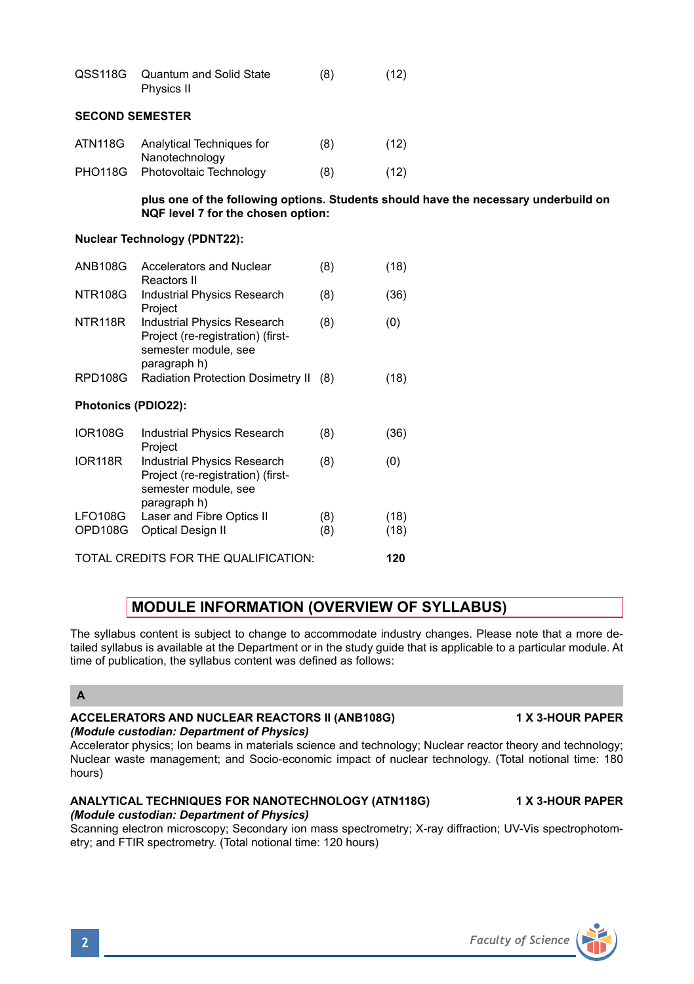| <b>SECOND SEMESTER</b>               |                      |                                                                                                                           |     |      |  |  |
|--------------------------------------|----------------------|---------------------------------------------------------------------------------------------------------------------------|-----|------|--|--|
|                                      | ATN118G              | Analytical Techniques for<br>Nanotechnology                                                                               | (8) | (12) |  |  |
|                                      | <b>PHO118G</b>       | Photovoltaic Technology                                                                                                   | (8) | (12) |  |  |
|                                      |                      | plus one of the following options. Students should have the necessary underbuild on<br>NQF level 7 for the chosen option: |     |      |  |  |
| <b>Nuclear Technology (PDNT22):</b>  |                      |                                                                                                                           |     |      |  |  |
|                                      | <b>ANB108G</b>       | Accelerators and Nuclear<br>Reactors II                                                                                   | (8) | (18) |  |  |
|                                      | <b>NTR108G</b>       | Industrial Physics Research<br>Project                                                                                    | (8) | (36) |  |  |
|                                      | NTR <sub>118</sub> R | <b>Industrial Physics Research</b><br>Project (re-registration) (first-<br>semester module, see<br>paragraph h)           | (8) | (0)  |  |  |
|                                      | RPD108G              | Radiation Protection Dosimetry II                                                                                         | (8) | (18) |  |  |
| Photonics (PDIO22):                  |                      |                                                                                                                           |     |      |  |  |
|                                      | <b>IOR108G</b>       | <b>Industrial Physics Research</b><br>Project                                                                             | (8) | (36) |  |  |
|                                      | <b>IOR118R</b>       | <b>Industrial Physics Research</b><br>Project (re-registration) (first-<br>semester module, see<br>paragraph h)           | (8) | (0)  |  |  |
|                                      | LFO108G              | Laser and Fibre Optics II                                                                                                 | (8) | (18) |  |  |
|                                      | OPD108G              | <b>Optical Design II</b>                                                                                                  | (8) | (18) |  |  |
| TOTAL CREDITS FOR THE QUALIFICATION: |                      |                                                                                                                           |     | 120  |  |  |

QSS118G Quantum and Solid State (8) (12)

Physics II

# **MODULE INFORMATION (OVERVIEW OF SYLLABUS)**

The syllabus content is subject to change to accommodate industry changes. Please note that a more detailed syllabus is available at the Department or in the study guide that is applicable to a particular module. At time of publication, the syllabus content was defined as follows:

# **A**

#### **ACCELERATORS AND NUCLEAR REACTORS II (ANB108G) 1 X 3-HOUR PAPER** *(Module custodian: Department of Physics)*

Accelerator physics; Ion beams in materials science and technology; Nuclear reactor theory and technology; Nuclear waste management; and Socio-economic impact of nuclear technology. (Total notional time: 180 hours)

### **ANALYTICAL TECHNIQUES FOR NANOTECHNOLOGY (ATN118G) 1 X 3-HOUR PAPER** *(Module custodian: Department of Physics)*

Scanning electron microscopy; Secondary ion mass spectrometry; X-ray diffraction; UV-Vis spectrophotometry; and FTIR spectrometry. (Total notional time: 120 hours)